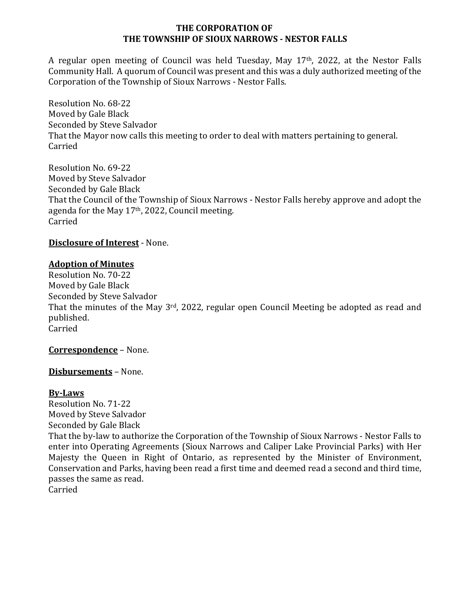#### **THE CORPORATION OF THE TOWNSHIP OF SIOUX NARROWS - NESTOR FALLS**

A regular open meeting of Council was held Tuesday, May 17<sup>th</sup>, 2022, at the Nestor Falls Community Hall. A quorum of Council was present and this was a duly authorized meeting of the Corporation of the Township of Sioux Narrows - Nestor Falls.

Resolution No. 68-22 Moved by Gale Black Seconded by Steve Salvador That the Mayor now calls this meeting to order to deal with matters pertaining to general. Carried

Resolution No. 69-22 Moved by Steve Salvador Seconded by Gale Black That the Council of the Township of Sioux Narrows - Nestor Falls hereby approve and adopt the agenda for the May  $17<sup>th</sup>$ , 2022, Council meeting. Carried

**Disclosure of Interest - None.** 

#### **Adoption of Minutes**

Resolution No. 70-22 Moved by Gale Black Seconded by Steve Salvador That the minutes of the May  $3^{rd}$ , 2022, regular open Council Meeting be adopted as read and published. Carried 

**Correspondence** – None.

**Disbursements** – None.

#### **By-Laws**

Resolution No. 71-22 Moved by Steve Salvador Seconded by Gale Black That the by-law to authorize the Corporation of the Township of Sioux Narrows - Nestor Falls to enter into Operating Agreements (Sioux Narrows and Caliper Lake Provincial Parks) with Her

Majesty the Queen in Right of Ontario, as represented by the Minister of Environment, Conservation and Parks, having been read a first time and deemed read a second and third time, passes the same as read.

Carried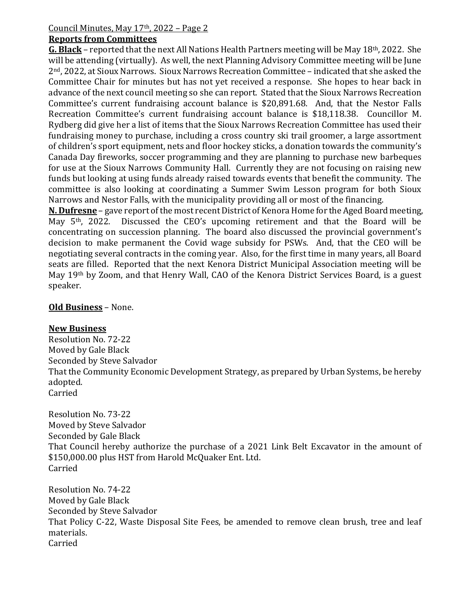# Council Minutes, May  $17<sup>th</sup>$ , 2022 – Page 2

#### **Reports from Committees**

**G. Black** – reported that the next All Nations Health Partners meeting will be May 18<sup>th</sup>, 2022. She will be attending (virtually). As well, the next Planning Advisory Committee meeting will be June  $2<sup>nd</sup>$ , 2022, at Sioux Narrows. Sioux Narrows Recreation Committee – indicated that she asked the Committee Chair for minutes but has not yet received a response. She hopes to hear back in advance of the next council meeting so she can report. Stated that the Sioux Narrows Recreation Committee's current fundraising account balance is \$20,891.68. And, that the Nestor Falls Recreation Committee's current fundraising account balance is \$18,118.38. Councillor M. Rydberg did give her a list of items that the Sioux Narrows Recreation Committee has used their fundraising money to purchase, including a cross country ski trail groomer, a large assortment of children's sport equipment, nets and floor hockey sticks, a donation towards the community's Canada Day fireworks, soccer programming and they are planning to purchase new barbeques for use at the Sioux Narrows Community Hall. Currently they are not focusing on raising new funds but looking at using funds already raised towards events that benefit the community. The committee is also looking at coordinating a Summer Swim Lesson program for both Sioux Narrows and Nestor Falls, with the municipality providing all or most of the financing.

**N. Dufresne** – gave report of the most recent District of Kenora Home for the Aged Board meeting, May  $5<sup>th</sup>$ , 2022. Discussed the CEO's upcoming retirement and that the Board will be concentrating on succession planning. The board also discussed the provincial government's decision to make permanent the Covid wage subsidy for PSWs. And, that the CEO will be negotiating several contracts in the coming year. Also, for the first time in many years, all Board seats are filled. Reported that the next Kenora District Municipal Association meeting will be May 19<sup>th</sup> by Zoom, and that Henry Wall, CAO of the Kenora District Services Board, is a guest speaker. 

## **Old Business - None.**

## **New Business**

Resolution No. 72-22 Moved by Gale Black Seconded by Steve Salvador That the Community Economic Development Strategy, as prepared by Urban Systems, be hereby adopted. Carried

Resolution No. 73-22 Moved by Steve Salvador Seconded by Gale Black That Council hereby authorize the purchase of a 2021 Link Belt Excavator in the amount of \$150,000.00 plus HST from Harold McQuaker Ent. Ltd. Carried

Resolution No. 74-22 Moved by Gale Black Seconded by Steve Salvador That Policy C-22, Waste Disposal Site Fees, be amended to remove clean brush, tree and leaf materials. Carried